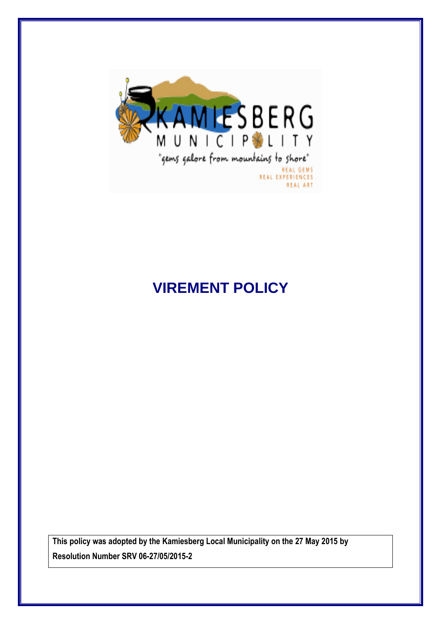

# **VIREMENT POLICY**

**This policy was adopted by the Kamiesberg Local Municipality on the 27 May 2015 by Resolution Number SRV 06-27/05/2015-2**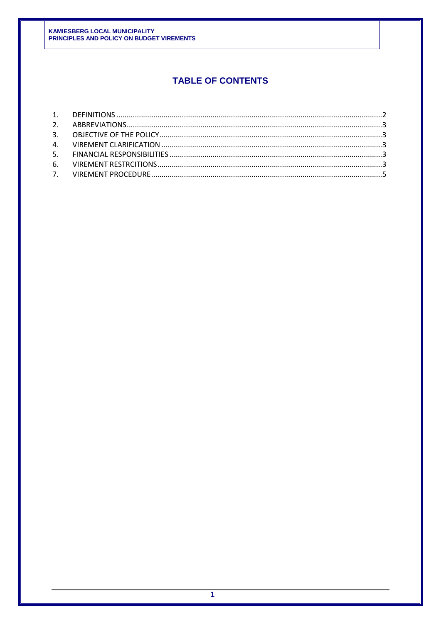# **TABLE OF CONTENTS**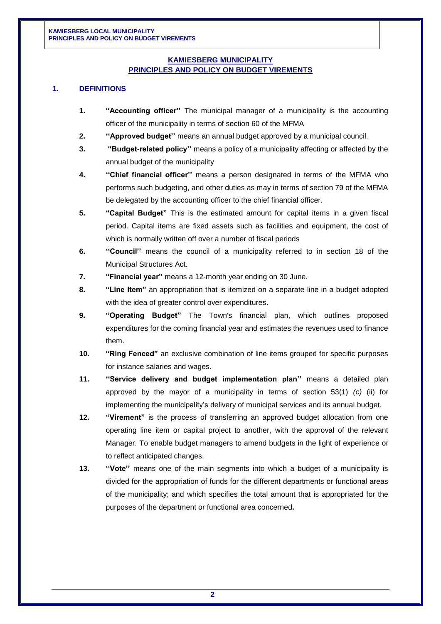# **KAMIESBERG MUNICIPALITY PRINCIPLES AND POLICY ON BUDGET VIREMENTS**

#### <span id="page-2-0"></span>**1. DEFINITIONS**

- **1. "Accounting officer''** The municipal manager of a municipality is the accounting officer of the municipality in terms of section 60 of the MFMA
- **2. ''Approved budget''** means an annual budget approved by a municipal council.
- **3. "Budget-related policy''** means a policy of a municipality affecting or affected by the annual budget of the municipality
- **4. ''Chief financial officer''** means a person designated in terms of the MFMA who performs such budgeting, and other duties as may in terms of section 79 of the MFMA be delegated by the accounting officer to the chief financial officer.
- **5. "Capital Budget"** This is the estimated amount for capital items in a given fiscal period. Capital items are fixed assets such as facilities and equipment, the cost of which is normally written off over a number of fiscal periods
- **6. ''Council''** means the council of a municipality referred to in section 18 of the Municipal Structures Act.
- **7. "Financial year"** means a 12-month year ending on 30 June.
- **8. "Line Item"** an appropriation that is itemized on a separate line in a budget adopted with the idea of greater control over expenditures.
- **9. "Operating Budget"** The Town's financial plan, which outlines proposed expenditures for the coming financial year and estimates the revenues used to finance them.
- **10. "Ring Fenced"** an exclusive combination of line items grouped for specific purposes for instance salaries and wages.
- **11. ''Service delivery and budget implementation plan''** means a detailed plan approved by the mayor of a municipality in terms of section 53(1) *(c)* (ii) for implementing the municipality's delivery of municipal services and its annual budget.
- **12. "Virement"** is the process of transferring an approved budget allocation from one operating line item or capital project to another, with the approval of the relevant Manager. To enable budget managers to amend budgets in the light of experience or to reflect anticipated changes.
- **13. ''Vote''** means one of the main segments into which a budget of a municipality is divided for the appropriation of funds for the different departments or functional areas of the municipality; and which specifies the total amount that is appropriated for the purposes of the department or functional area concerned**.**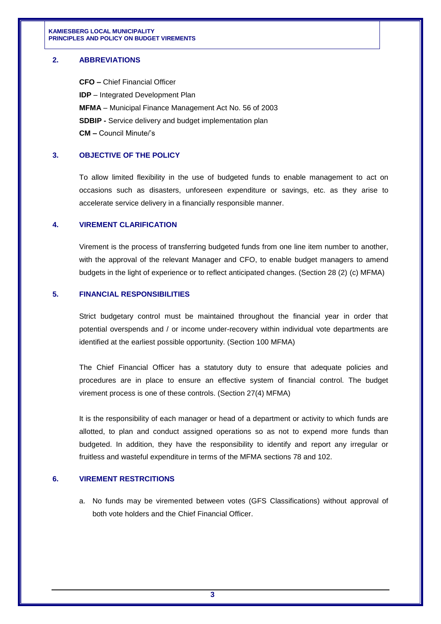#### <span id="page-3-0"></span>**2. ABBREVIATIONS**

**CFO –** Chief Financial Officer **IDP** – Integrated Development Plan **MFMA** – Municipal Finance Management Act No. 56 of 2003 **SDBIP -** Service delivery and budget implementation plan **CM –** Council Minute/'s

## <span id="page-3-1"></span>**3. OBJECTIVE OF THE POLICY**

To allow limited flexibility in the use of budgeted funds to enable management to act on occasions such as disasters, unforeseen expenditure or savings, etc. as they arise to accelerate service delivery in a financially responsible manner.

#### <span id="page-3-2"></span>**4. VIREMENT CLARIFICATION**

Virement is the process of transferring budgeted funds from one line item number to another, with the approval of the relevant Manager and CFO, to enable budget managers to amend budgets in the light of experience or to reflect anticipated changes. (Section 28 (2) (c) MFMA)

## <span id="page-3-3"></span>**5. FINANCIAL RESPONSIBILITIES**

Strict budgetary control must be maintained throughout the financial year in order that potential overspends and / or income under-recovery within individual vote departments are identified at the earliest possible opportunity. (Section 100 MFMA)

The Chief Financial Officer has a statutory duty to ensure that adequate policies and procedures are in place to ensure an effective system of financial control. The budget virement process is one of these controls. (Section 27(4) MFMA)

It is the responsibility of each manager or head of a department or activity to which funds are allotted, to plan and conduct assigned operations so as not to expend more funds than budgeted. In addition, they have the responsibility to identify and report any irregular or fruitless and wasteful expenditure in terms of the MFMA sections 78 and 102.

#### <span id="page-3-4"></span>**6. VIREMENT RESTRCITIONS**

a. No funds may be viremented between votes (GFS Classifications) without approval of both vote holders and the Chief Financial Officer.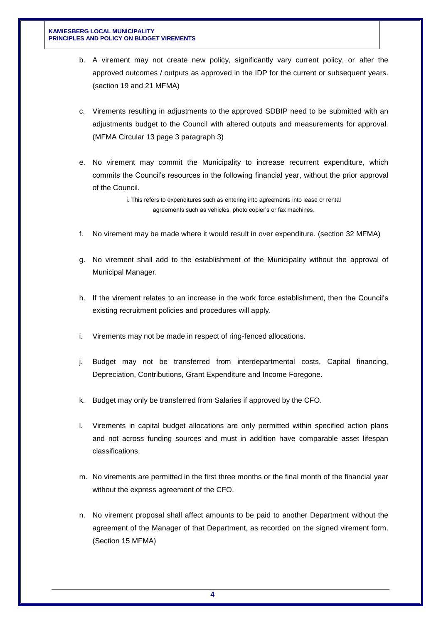- b. A virement may not create new policy, significantly vary current policy, or alter the approved outcomes / outputs as approved in the IDP for the current or subsequent years. (section 19 and 21 MFMA)
- c. Virements resulting in adjustments to the approved SDBIP need to be submitted with an adjustments budget to the Council with altered outputs and measurements for approval. (MFMA Circular 13 page 3 paragraph 3)
- e. No virement may commit the Municipality to increase recurrent expenditure, which commits the Council's resources in the following financial year, without the prior approval of the Council.

i. This refers to expenditures such as entering into agreements into lease or rental agreements such as vehicles, photo copier's or fax machines.

- f. No virement may be made where it would result in over expenditure. (section 32 MFMA)
- g. No virement shall add to the establishment of the Municipality without the approval of Municipal Manager.
- h. If the virement relates to an increase in the work force establishment, then the Council's existing recruitment policies and procedures will apply.
- i. Virements may not be made in respect of ring-fenced allocations.
- j. Budget may not be transferred from interdepartmental costs, Capital financing, Depreciation, Contributions, Grant Expenditure and Income Foregone.
- k. Budget may only be transferred from Salaries if approved by the CFO.
- l. Virements in capital budget allocations are only permitted within specified action plans and not across funding sources and must in addition have comparable asset lifespan classifications.
- m. No virements are permitted in the first three months or the final month of the financial year without the express agreement of the CFO.
- n. No virement proposal shall affect amounts to be paid to another Department without the agreement of the Manager of that Department, as recorded on the signed virement form. (Section 15 MFMA)